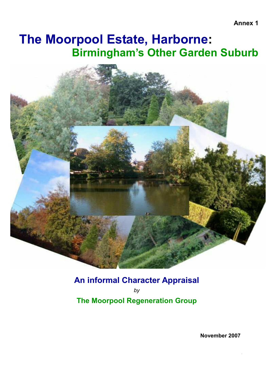# The Moorpool Estate, Harborne: Birmingham's Other Garden Suburb



## An informal Character Appraisal

by The Moorpool Regeneration Group

November 2007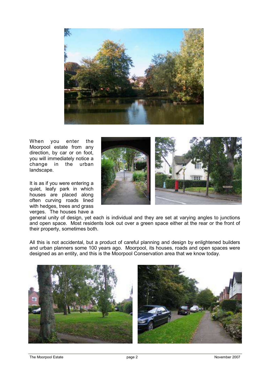

When you enter the Moorpool estate from any direction, by car or on foot, you will immediately notice a change in the urban landscape.

It is as if you were entering a quiet, leafy park in which houses are placed along often curving roads lined with hedges, trees and grass verges. The houses have a



general unity of design, yet each is individual and they are set at varying angles to junctions and open space. Most residents look out over a green space either at the rear or the front of their property, sometimes both.

All this is not accidental, but a product of careful planning and design by enlightened builders and urban planners some 100 years ago. Moorpool, its houses, roads and open spaces were designed as an entity, and this is the Moorpool Conservation area that we know today.



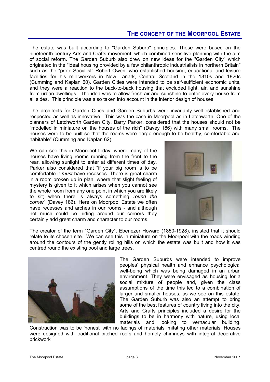### THE CONCEPT OF THE MOORPOOL ESTATE

The estate was built according to "Garden Suburb" principles. These were based on the nineteenth-century Arts and Crafts movement, which combined sensitive planning with the aim of social reform. The Garden Suburb also drew on new ideas for the "Garden City" which originated in the "ideal housing provided by a few philanthropic industrialists in northern Britain" such as the "proto-Socialist" Robert Owen, who established housing, educational and leisure facilities for his mill-workers in New Lanark, Central Scotland in the 1810s and 1820s (Cumming and Kaplan 60). Garden Cities were intended to be self-sufficient economic units, and they were a reaction to the back-to-back housing that excluded light, air, and sunshine from urban dwellings. The idea was to allow fresh air and sunshine to enter every house from all sides. This principle was also taken into account in the interior design of houses.

The architects for Garden Cities and Garden Suburbs were invariably well-established and respected as well as innovative. This was the case in Moorpool as in Letchworth. One of the planners of Letchworth Garden City, Barry Parker, considered that the houses should not be "modelled in miniature on the houses of the rich" (Davey 186) with many small rooms. The houses were to be built so that the rooms were "large enough to be healthy, comfortable and habitable" (Cumming and Kaplan 62).

We can see this in Moorpool today, where many of the houses have living rooms running from the front to the rear, allowing sunlight to enter at different times of day. Parker also considered that "if your big room is to be comfortable it must have recesses. There is great charm in a room broken up in plan, where that slight feeling of mystery is given to it which arises when you cannot see the whole room from any one point in which you are likely to sit; when there is always something round the corner" (Davey 186). Here on Moorpool Estate we often have recesses and arches in our rooms - and although not much could be hiding around our corners they certainly add great charm and character to our rooms.



The creator of the term "Garden City", Ebenezer Howard (1850-1928), insisted that it should relate to its chosen site. We can see this in miniature on the Moorpool with the roads winding around the contours of the gently rolling hills on which the estate was built and how it was centred round the existing pool and large trees.



The Garden Suburbs were intended to improve peoples' physical health and enhance psychological well-being which was being damaged in an urban environment. They were envisaged as housing for a social mixture of people and, given the class assumptions of the time this led to a combination of larger and smaller houses, as we see on this estate. The Garden Suburb was also an attempt to bring some of the best features of country living into the city. Arts and Crafts principles included a desire for the buildings to be in harmony with nature, using local materials and looking to vernacular building.

Construction was to be 'honest' with no facings of materials imitating other materials. Houses were designed with traditional pitched roofs and homely chimneys with integral decorative brickwork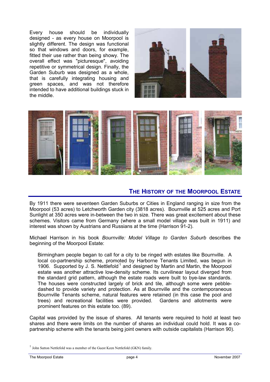Every house should be individually designed - as every house on Moorpool is slightly different. The design was functional so that windows and doors, for example, fitted their use rather than being showy. The overall effect was "picturesque", avoiding repetitive or symmetrical design. Finally, the Garden Suburb was designed as a whole, that is carefully integrating housing and green spaces, and was not therefore intended to have additional buildings stuck in the middle.





#### THE HISTORY OF THE MOORPOOL ESTATE

By 1911 there were seventeen Garden Suburbs or Cities in England ranging in size from the Moorpool (53 acres) to Letchworth Garden city (3818 acres). Bournville at 525 acres and Port Sunlight at 350 acres were in-between the two in size. There was great excitement about these schemes. Visitors came from Germany (where a small model village was built in 1911) and interest was shown by Austrians and Russians at the time (Harrison 91-2).

Michael Harrison in his book Bournville: Model Village to Garden Suburb describes the beginning of the Moorpool Estate:

Birmingham people began to call for a city to be ringed with estates like Bournville. A local co-partnership scheme, promoted by Harborne Tenants Limited, was begun in 1906. Supported by J. S. Nettlefold<sup>1</sup> and designed by Martin and Martin, the Moorpool estate was another attractive low-density scheme. Its curvilinear layout diverged from the standard grid pattern, although the estate roads were built to bye-law standards. The houses were constructed largely of brick and tile, although some were pebbledashed to provide variety and protection. As at Bournville and the contemporaneous Bournville Tenants scheme, natural features were retained (in this case the pool and trees) and recreational facilities were provided. Gardens and allotments were prominent features on this estate too. (89).

Capital was provided by the issue of shares. All tenants were required to hold at least two shares and there were limits on the number of shares an individual could hold. It was a copartnership scheme with the tenants being joint owners with outside capitalists (Harrison 90).

 $<sup>1</sup>$  John Sutton Nettlefold was a member of the Guest Keen Nettlefold (GKN) family.</sup>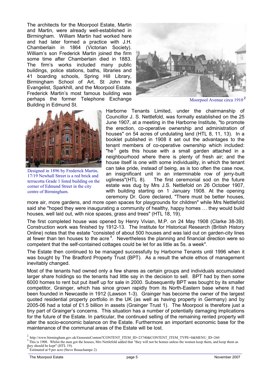The architects for the Moorpool Estate, Martin and Martin, were already well-established in Birmingham. William Martin had worked here and had later formed a practice with J.H. Chamberlain in 1864 (Victorian Society). William's son Frederick Martin joined the firm some time after Chamberlain died in 1883. The firm's works included many public buildings, police stations, baths, libraries and 41 boarding schools, Spring Hill Library, Birmingham School of Art, St John the Evangelist, Sparkhill, and the Moorpool Estate. Frederick Martin's most famous building was perhaps the former Telephone Exchange Building in Edmund St.



Moorpool Avenue circa 1910 <sup>2</sup>



Designed in 1896 by Frederick Martin, 17/19 Newhall Street is a red brick and terracotta Grade 1 listed building on the corner of Edmund Street in the city centre of Birmingham.

Harborne Tenants Limited, under the chairmanship of Councillor J. S. Nettlefold, was formally established on the 25 June 1907, at a meeting in the Harborne Institute, "to promote the erection, co-operative ownership and administration of houses" on 54 acres of undulating land (HTL 8, 11, 13). In a booklet published in 1908 it set out the advantages to the tenant members of co-operative ownership which included: "he $^3$  gets this house with a small garden attached in a neighbourhood where there is plenty of fresh air; and the house itself is one with some individuality, in which the tenant can take pride, instead of being, as is too often the case now, an insignificant unit in an interminable row of jerry-built ugliness"(HTL 8). The first ceremonial sod on the future estate was dug by Mrs J.S. Nettlefold on 26 October 1907, with building starting on 1 January 1908. At the opening ceremony Dr. Gore declared, "There must be better houses,

more air, more gardens, and more open spaces for playgrounds for children" while Mrs Nettlefold said she "hoped they were inaugurating a community of healthy, happy homes … they would build houses, well laid out, with nice spaces, grass and trees" (HTL 18, 19).

The first completed house was opened by Henry Vivian, M.P. on 24 May 1908 (Clarke 38-39). Construction work was finished by 1912-13. The Institute for Historical Research (British History Online) notes that the estate "consisted of about 500 houses and was laid out on garden-city lines at fewer than ten houses to the acre<sup>4</sup>. Nevertheless the planning and financial direction were so competent that the self-contained cottages could be let for as little as 5s. a week".

The Estate then continued to be managed successfully by Harborne Tenants until 1996 when it was bought by The Bradford Property Trust (BPT). As a result the whole ethos of management inevitably changed.

Most of the tenants had owned only a few shares as certain groups and individuals accumulated larger share holdings so the tenants had little say in the decision to sell. BPT had by then some 6000 homes to rent but put itself up for sale in 2000. Subsequently BPT was bought by its smaller competitor, Grainger, which has since grown rapidly from its North-Eastern base where it had been founded in Newcastle in 1912 (Lawson 1-3). Grainger has become the owner of the largest quoted residential property portfolio in the UK (as well as having property in Germany) and by 2005-06 had a total of £1.5 billion in assets (Grainger Trust 1). The Moorpool is therefore just a tiny part of Grainger's concerns. This situation has a number of potentially damaging implications for the future of the Estate. In particular, the continued selling of the remaining rented property will alter the socio-economic balance on the Estate. Furthermore an important economic base for the maintenance of the communal areas of the Estate will be lost.

<sup>3</sup>This is 1908. Whilst the men got the houses, Mrs Nettlefold added that "they will not be homes unless the women keep them, and keep them as they should be kept" (HTL 19).<br> $\frac{4}{3}$  Estimated at 0 per agre (Stave)

<sup>2</sup> http://www.birmingham.gov.uk/GenerateContent?CONTENT\_ITEM\_ID=23740&CONTENT\_ITEM\_TYPE=0&MENU\_ID=260

Estimated at 9 per acre (Steve Beauchampe 2)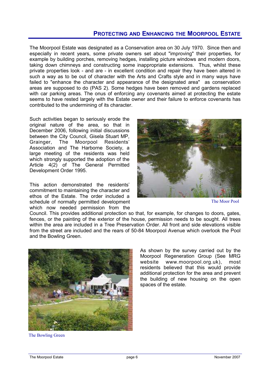### PROTECTING AND ENHANCING THE MOORPOOL ESTATE

The Moorpool Estate was designated as a Conservation area on 30 July 1970. Since then and especially in recent years, some private owners set about "improving" their properties, for example by building porches, removing hedges, installing picture windows and modern doors, taking down chimneys and constructing some inappropriate extensions. Thus, whilst these private properties look - and are - in excellent condition and repair they have been altered in such a way as to be out of character with the Arts and Crafts style and in many ways have failed to "enhance the character and appearance of the designated area" as conservation areas are supposed to do (PAS 2). Some hedges have been removed and gardens replaced with car parking areas. The onus of enforcing any covenants aimed at protecting the estate seems to have rested largely with the Estate owner and their failure to enforce covenants has contributed to the undermining of its character.

Such activities began to seriously erode the original nature of the area, so that in December 2006, following initial discussions between the City Council, Gisela Stuart MP,<br>Grainger. The Moorpool Residents' Grainger, The Moorpool Residents' Association and The Harborne Society, a large meeting of the residents was held which strongly supported the adoption of the Article 4(2) of The General Permitted Development Order 1995.

This action demonstrated the residents' commitment to maintaining the character and ethos of the Estate. The order included a schedule of normally permitted development which now needed permission from the



The Moor Pool

Council. This provides additional protection so that, for example, for changes to doors, gates, fences, or the painting of the exterior of the house, permission needs to be sought. All trees within the area are included in a Tree Preservation Order. All front and side elevations visible from the street are included and the rears of 50-84 Moorpool Avenue which overlook the Pool and the Bowling Green.



As shown by the survey carried out by the Moorpool Regeneration Group (See MRG website www.moorpool.org.uk), most residents believed that this would provide additional protection for the area and prevent the building of new housing on the open spaces of the estate.

The Bowling Green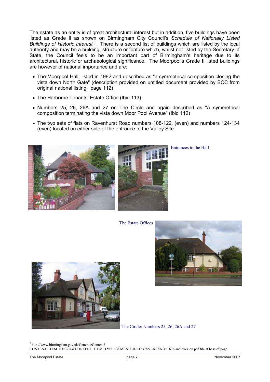The estate as an entity is of great architectural interest but in addition, five buildings have been listed as Grade II as shown on Birmingham City Council's Schedule of Nationally Listed Buildings of Historic Interest<sup>5</sup>. There is a second list of buildings which are listed by the local authority and may be a building, structure or feature which, whilst not listed by the Secretary of State, the Council feels to be an important part of Birmingham's heritage due to its architectural, historic or archaeological significance. The Moorpool's Grade II listed buildings are however of national importance and are:

- The Moorpool Hall, listed in 1982 and described as "a symmetrical composition closing the vista down North Gate" (description provided on untitled document provided by BCC from original national listing, page 112)
- The Harborne Tenants' Estate Office (Ibid 113)
- Numbers 25, 26, 26A and 27 on The Circle and again described as "A symmetrical composition terminating the vista down Moor Pool Avenue" (Ibid 112)
- The two sets of flats on Ravenhurst Road numbers 108-122, (even) and numbers 124-134 (even) located on either side of the entrance to the Valley Site.



Entrances to the Hall

The Estate Offices





The Circle: Numbers 25, 26, 26A and 27

 $<sup>5</sup>$  http://www.birmingham.gov.uk/GenerateContent?</sup> CONTENT\_ITEM\_ID=3226&CONTENT\_ITEM\_TYPE=0&MENU\_ID=12378&EXPAND=1676 and click on pdf file at base of page.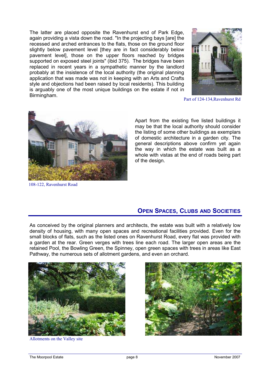The latter are placed opposite the Ravenhurst end of Park Edge, again providing a vista down the road. "In the projecting bays [are] the recessed and arched entrances to the flats, those on the ground floor slightly below pavement level [they are in fact considerably below pavement level], those on the upper floors reached by bridges supported on exposed steel joints" (ibid 375). The bridges have been replaced in recent years in a sympathetic manner by the landlord probably at the insistence of the local authority (the original planning application that was made was not in keeping with an Arts and Crafts style and objections had been raised by local residents). This building is arguably one of the most unique buildings on the estate if not in Birmingham.



Part of 124-134,Ravenhurst Rd



108-122, Ravenhurst Road

Apart from the existing five listed buildings it may be that the local authority should consider the listing of some other buildings as exemplars of domestic architecture in a garden city. The general descriptions above confirm yet again the way in which the estate was built as a whole with vistas at the end of roads being part of the design.

#### OPEN SPACES, CLUBS AND SOCIETIES

As conceived by the original planners and architects, the estate was built with a relatively low density of housing, with many open spaces and recreational facilities provided. Even for the small blocks of flats, such as the listed ones on Ravenhurst Road, every flat was provided with a garden at the rear. Green verges with trees line each road. The larger open areas are the retained Pool, the Bowling Green, the Spinney, open green spaces with trees in areas like East Pathway, the numerous sets of allotment gardens, and even an orchard.



Allotments on the Valley site

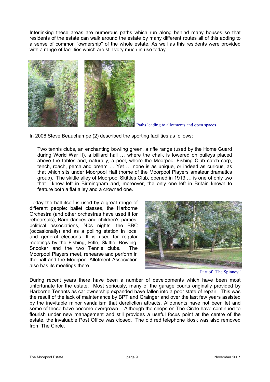Interlinking these areas are numerous paths which run along behind many houses so that residents of the estate can walk around the estate by many different routes all of this adding to a sense of common "ownership" of the whole estate. As well as this residents were provided with a range of facilities which are still very much in use today.



Paths leading to allotments and open spaces

In 2006 Steve Beauchampe (2) described the sporting facilities as follows:

Two tennis clubs, an enchanting bowling green, a rifle range (used by the Home Guard during World War II), a billiard hall … where the chalk is lowered on pulleys placed above the tables and, naturally, a pool, where the Moorpool Fishing Club catch carp, tench, roach, perch and bream … Yet … none is as unique, or indeed as curious, as that which sits under Moorpool Hall (home of the Moorpool Players amateur dramatics group). The skittle alley of Moorpool Skittles Club, opened in 1913 … is one of only two that I know left in Birmingham and, moreover, the only one left in Britain known to feature both a flat alley and a crowned one.

Today the hall itself is used by a great range of different people: ballet classes, the Harborne Orchestra (and other orchestras have used it for rehearsals), Barn dances and children's parties, political associations, '40s nights, the BBC (occasionally) and as a polling station in local and general elections. It is used for regular meetings by the Fishing, Rifle, Skittle, Bowling, Snooker and the two Tennis clubs. The Moorpool Players meet, rehearse and perform in the hall and the Moorpool Allotment Association also has its meetings there.



Part of "The Spinney"

During recent years there have been a number of developments which have been most unfortunate for the estate. Most seriously, many of the garage courts originally provided by Harborne Tenants as car ownership expanded have fallen into a poor state of repair. This was the result of the lack of maintenance by BPT and Grainger and over the last few years assisted by the inevitable minor vandalism that dereliction attracts. Allotments have not been let and some of these have become overgrown. Although the shops on The Circle have continued to flourish under new management and still provides a useful focus point at the centre of the estate, the invaluable Post Office was closed. The old red telephone kiosk was also removed from The Circle.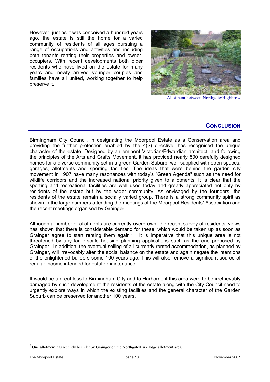However, just as it was conceived a hundred years ago, the estate is still the home for a varied community of residents of all ages pursuing a range of occupations and activities and including both tenants renting their properties and owneroccupiers. With recent developments both older residents who have lived on the estate for many years and newly arrived younger couples and families have all united, working together to help preserve it.



Allotment between Northgate/Highbrow

#### **CONCLUSION**

Birmingham City Council, in designating the Moorpool Estate as a Conservation area and providing the further protection enabled by the 4(2) directive, has recognised the unique character of the estate. Designed by an eminent Victorian/Edwardian architect, and following the principles of the Arts and Crafts Movement, it has provided nearly 500 carefully designed homes for a diverse community set in a green Garden Suburb, well-supplied with open spaces, garages, allotments and sporting facilities. The ideas that were behind the garden city movement in 1907 have many resonances with today's "Green Agenda" such as the need for wildlife corridors and the increased national priority given to allotments. It is clear that the sporting and recreational facilities are well used today and greatly appreciated not only by residents of the estate but by the wider community. As envisaged by the founders, the residents of the estate remain a socially varied group. There is a strong community spirit as shown in the large numbers attending the meetings of the Moorpool Residents' Association and the recent meetings organised by Grainger.

Although a number of allotments are currently overgrown, the recent survey of residents' views has shown that there is considerable demand for these, which would be taken up as soon as Grainger agree to start renting them again  $6$ . It is imperative that this unique area is not threatened by any large-scale housing planning applications such as the one proposed by Grainger. In addition, the eventual selling of all currently rented accommodation, as planned by Grainger, will irrevocably alter the social balance on the estate and again negate the intentions of the enlightened builders some 100 years ago. This will also remove a significant source of regular income intended for estate maintenance

It would be a great loss to Birmingham City and to Harborne if this area were to be irretrievably damaged by such development: the residents of the estate along with the City Council need to urgently explore ways in which the existing facilities and the general character of the Garden Suburb can be preserved for another 100 years.

 $<sup>6</sup>$  One allotment has recently been let by Grainger on the Northgate/Park Edge allotment area.</sup>